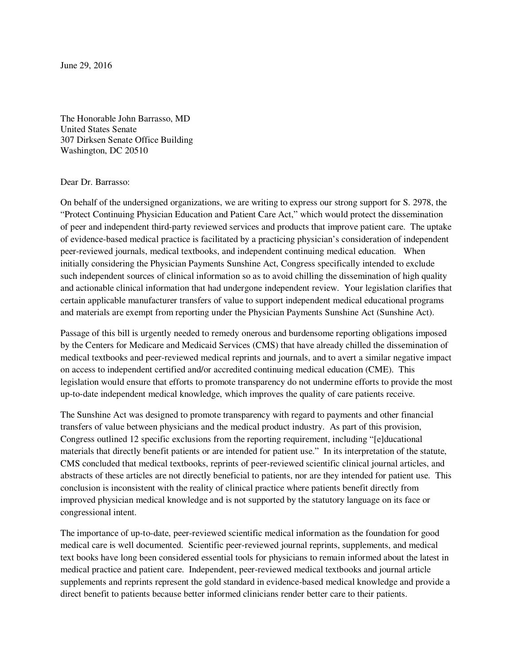June 29, 2016

The Honorable John Barrasso, MD United States Senate 307 Dirksen Senate Office Building Washington, DC 20510

## Dear Dr. Barrasso:

On behalf of the undersigned organizations, we are writing to express our strong support for S. 2978, the "Protect Continuing Physician Education and Patient Care Act," which would protect the dissemination of peer and independent third-party reviewed services and products that improve patient care. The uptake of evidence-based medical practice is facilitated by a practicing physician's consideration of independent peer-reviewed journals, medical textbooks, and independent continuing medical education. When initially considering the Physician Payments Sunshine Act, Congress specifically intended to exclude such independent sources of clinical information so as to avoid chilling the dissemination of high quality and actionable clinical information that had undergone independent review. Your legislation clarifies that certain applicable manufacturer transfers of value to support independent medical educational programs and materials are exempt from reporting under the Physician Payments Sunshine Act (Sunshine Act).

Passage of this bill is urgently needed to remedy onerous and burdensome reporting obligations imposed by the Centers for Medicare and Medicaid Services (CMS) that have already chilled the dissemination of medical textbooks and peer-reviewed medical reprints and journals, and to avert a similar negative impact on access to independent certified and/or accredited continuing medical education (CME). This legislation would ensure that efforts to promote transparency do not undermine efforts to provide the most up-to-date independent medical knowledge, which improves the quality of care patients receive.

The Sunshine Act was designed to promote transparency with regard to payments and other financial transfers of value between physicians and the medical product industry. As part of this provision, Congress outlined 12 specific exclusions from the reporting requirement, including "[e]ducational materials that directly benefit patients or are intended for patient use." In its interpretation of the statute, CMS concluded that medical textbooks, reprints of peer-reviewed scientific clinical journal articles, and abstracts of these articles are not directly beneficial to patients, nor are they intended for patient use. This conclusion is inconsistent with the reality of clinical practice where patients benefit directly from improved physician medical knowledge and is not supported by the statutory language on its face or congressional intent.

The importance of up-to-date, peer-reviewed scientific medical information as the foundation for good medical care is well documented. Scientific peer-reviewed journal reprints, supplements, and medical text books have long been considered essential tools for physicians to remain informed about the latest in medical practice and patient care. Independent, peer-reviewed medical textbooks and journal article supplements and reprints represent the gold standard in evidence-based medical knowledge and provide a direct benefit to patients because better informed clinicians render better care to their patients.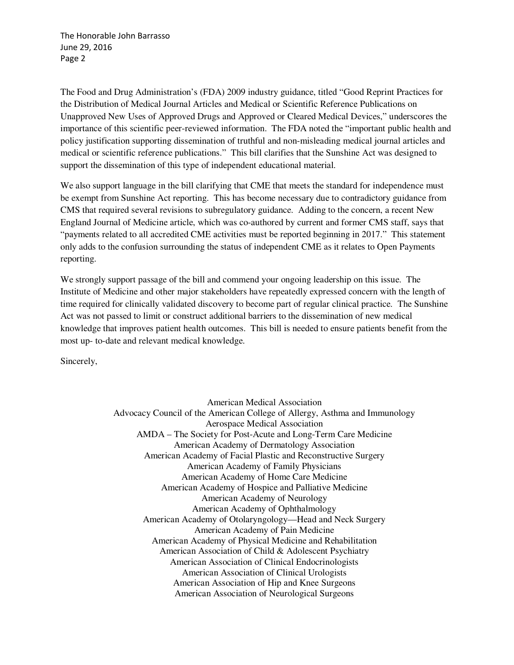The Honorable John Barrasso June 29, 2016 Page 2

The Food and Drug Administration's (FDA) 2009 industry guidance, titled "Good Reprint Practices for the Distribution of Medical Journal Articles and Medical or Scientific Reference Publications on Unapproved New Uses of Approved Drugs and Approved or Cleared Medical Devices," underscores the importance of this scientific peer-reviewed information. The FDA noted the "important public health and policy justification supporting dissemination of truthful and non-misleading medical journal articles and medical or scientific reference publications." This bill clarifies that the Sunshine Act was designed to support the dissemination of this type of independent educational material.

We also support language in the bill clarifying that CME that meets the standard for independence must be exempt from Sunshine Act reporting. This has become necessary due to contradictory guidance from CMS that required several revisions to subregulatory guidance. Adding to the concern, a recent New England Journal of Medicine article, which was co-authored by current and former CMS staff, says that "payments related to all accredited CME activities must be reported beginning in 2017." This statement only adds to the confusion surrounding the status of independent CME as it relates to Open Payments reporting.

We strongly support passage of the bill and commend your ongoing leadership on this issue. The Institute of Medicine and other major stakeholders have repeatedly expressed concern with the length of time required for clinically validated discovery to become part of regular clinical practice. The Sunshine Act was not passed to limit or construct additional barriers to the dissemination of new medical knowledge that improves patient health outcomes. This bill is needed to ensure patients benefit from the most up- to-date and relevant medical knowledge.

Sincerely,

American Medical Association Advocacy Council of the American College of Allergy, Asthma and Immunology Aerospace Medical Association AMDA – The Society for Post-Acute and Long-Term Care Medicine American Academy of Dermatology Association American Academy of Facial Plastic and Reconstructive Surgery American Academy of Family Physicians American Academy of Home Care Medicine American Academy of Hospice and Palliative Medicine American Academy of Neurology American Academy of Ophthalmology American Academy of Otolaryngology—Head and Neck Surgery American Academy of Pain Medicine American Academy of Physical Medicine and Rehabilitation American Association of Child & Adolescent Psychiatry American Association of Clinical Endocrinologists American Association of Clinical Urologists American Association of Hip and Knee Surgeons American Association of Neurological Surgeons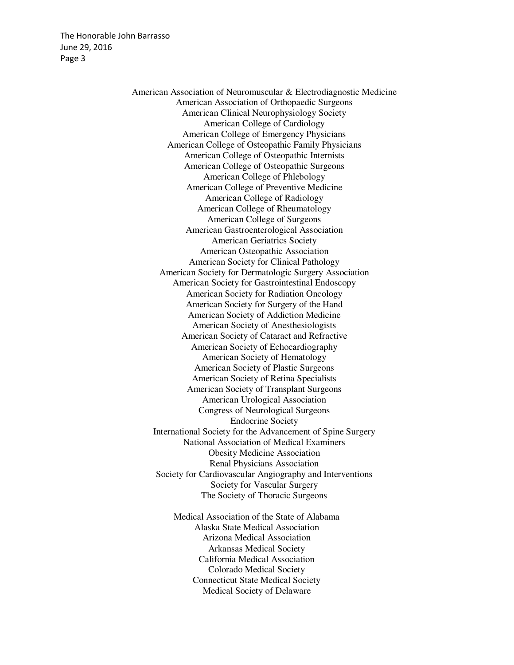The Honorable John Barrasso June 29, 2016 Page 3

> American Association of Neuromuscular & Electrodiagnostic Medicine American Association of Orthopaedic Surgeons American Clinical Neurophysiology Society American College of Cardiology American College of Emergency Physicians American College of Osteopathic Family Physicians American College of Osteopathic Internists American College of Osteopathic Surgeons American College of Phlebology American College of Preventive Medicine American College of Radiology American College of Rheumatology American College of Surgeons American Gastroenterological Association American Geriatrics Society American Osteopathic Association American Society for Clinical Pathology American Society for Dermatologic Surgery Association American Society for Gastrointestinal Endoscopy American Society for Radiation Oncology American Society for Surgery of the Hand American Society of Addiction Medicine American Society of Anesthesiologists American Society of Cataract and Refractive American Society of Echocardiography American Society of Hematology American Society of Plastic Surgeons American Society of Retina Specialists American Society of Transplant Surgeons American Urological Association Congress of Neurological Surgeons Endocrine Society International Society for the Advancement of Spine Surgery National Association of Medical Examiners Obesity Medicine Association Renal Physicians Association Society for Cardiovascular Angiography and Interventions Society for Vascular Surgery The Society of Thoracic Surgeons

> > Medical Association of the State of Alabama Alaska State Medical Association Arizona Medical Association Arkansas Medical Society California Medical Association Colorado Medical Society Connecticut State Medical Society Medical Society of Delaware